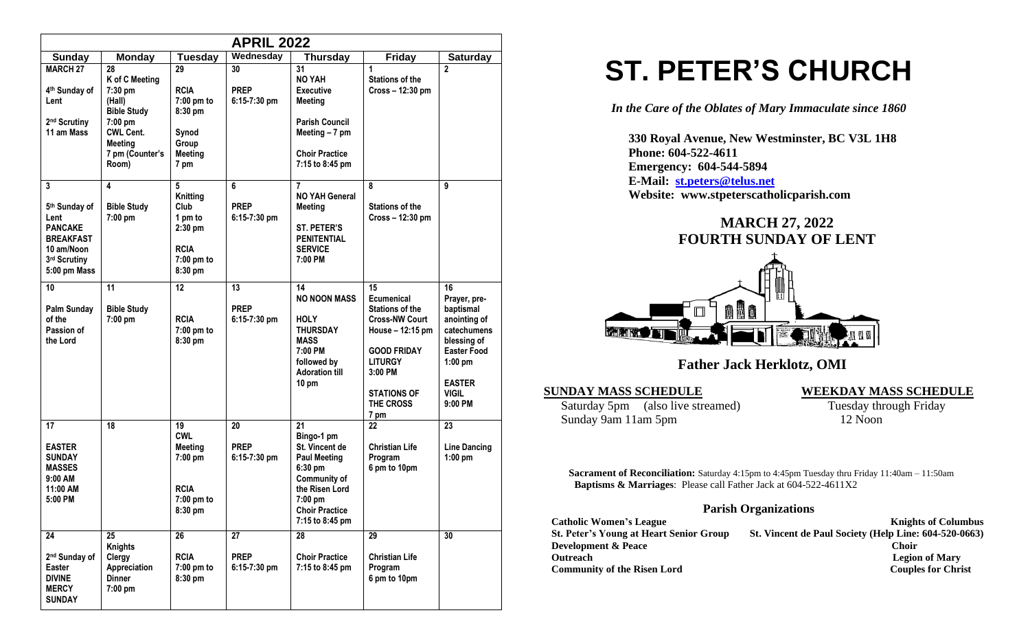|                                                                                                                            |                                                                                                                                                |                                                                                              | <b>APRIL 2022</b>                   |                                                                                                                                                                      |                                                                                                                                                                                              |                                                                                                                                                                |
|----------------------------------------------------------------------------------------------------------------------------|------------------------------------------------------------------------------------------------------------------------------------------------|----------------------------------------------------------------------------------------------|-------------------------------------|----------------------------------------------------------------------------------------------------------------------------------------------------------------------|----------------------------------------------------------------------------------------------------------------------------------------------------------------------------------------------|----------------------------------------------------------------------------------------------------------------------------------------------------------------|
| Sunday                                                                                                                     | <b>Monday</b>                                                                                                                                  | <b>Tuesday</b>                                                                               | Wednesday                           | Thursday                                                                                                                                                             | <b>Friday</b>                                                                                                                                                                                | <b>Saturday</b>                                                                                                                                                |
| <b>MARCH 27</b><br>4 <sup>th</sup> Sunday of<br>Lent<br>2 <sup>nd</sup> Scrutiny<br>11 am Mass                             | 28<br>K of C Meeting<br>$7:30$ pm<br>(Hall)<br><b>Bible Study</b><br>7:00 pm<br><b>CWL Cent.</b><br><b>Meeting</b><br>7 pm (Counter's<br>Room) | 29<br><b>RCIA</b><br>$7:00$ pm to<br>8:30 pm<br>Synod<br>Group<br><b>Meeting</b><br>7 pm     | 30<br><b>PREP</b><br>$6:15-7:30$ pm | 31<br><b>NO YAH</b><br><b>Executive</b><br><b>Meeting</b><br><b>Parish Council</b><br>Meeting - 7 pm<br><b>Choir Practice</b><br>7:15 to 8:45 pm                     | 1<br><b>Stations of the</b><br>Cross - 12:30 pm                                                                                                                                              | $\overline{2}$                                                                                                                                                 |
| 3<br>5 <sup>th</sup> Sunday of<br>Lent<br><b>PANCAKE</b><br><b>BREAKFAST</b><br>10 am/Noon<br>3rd Scrutiny<br>5:00 pm Mass | 4<br><b>Bible Study</b><br>7:00 pm                                                                                                             | 5<br><b>Knitting</b><br>Club<br>1 pm to<br>$2:30$ pm<br><b>RCIA</b><br>7:00 pm to<br>8:30 pm | 6<br><b>PREP</b><br>$6:15-7:30$ pm  | $\overline{7}$<br><b>NO YAH General</b><br><b>Meeting</b><br><b>ST. PETER'S</b><br><b>PENITENTIAL</b><br><b>SERVICE</b><br>7:00 PM                                   | 8<br><b>Stations of the</b><br>Cross - 12:30 pm                                                                                                                                              | 9                                                                                                                                                              |
| 10<br>Palm Sunday<br>of the<br>Passion of<br>the Lord                                                                      | 11<br><b>Bible Study</b><br>7:00 pm                                                                                                            | 12<br><b>RCIA</b><br>7:00 pm to<br>8:30 pm                                                   | 13<br><b>PREP</b><br>$6:15-7:30$ pm | 14<br><b>NO NOON MASS</b><br><b>HOLY</b><br><b>THURSDAY</b><br><b>MASS</b><br>7:00 PM<br>followed by<br><b>Adoration till</b><br>10 pm                               | 15<br><b>Ecumenical</b><br><b>Stations of the</b><br><b>Cross-NW Court</b><br>House - 12:15 pm<br><b>GOOD FRIDAY</b><br><b>LITURGY</b><br>3:00 PM<br><b>STATIONS OF</b><br>THE CROSS<br>7 pm | 16<br>Prayer, pre-<br>baptismal<br>anointing of<br>catechumens<br>blessing of<br><b>Easter Food</b><br>$1:00$ pm<br><b>EASTER</b><br><b>VIGIL</b><br>$9:00$ PM |
| 17<br><b>EASTER</b><br><b>SUNDAY</b><br><b>MASSES</b><br>9:00 AM<br>11:00 AM<br>5:00 PM                                    | 18                                                                                                                                             | 19<br><b>CWL</b><br><b>Meeting</b><br>$7:00$ pm<br><b>RCIA</b><br>7:00 pm to<br>8:30 pm      | 20<br><b>PREP</b><br>$6:15-7:30$ pm | 21<br>Bingo-1 pm<br>St. Vincent de<br><b>Paul Meeting</b><br>6:30 pm<br><b>Community of</b><br>the Risen Lord<br>7:00 pm<br><b>Choir Practice</b><br>7:15 to 8:45 pm | 22<br><b>Christian Life</b><br>Program<br>6 pm to 10pm                                                                                                                                       | 23<br><b>Line Dancing</b><br>$1:00$ pm                                                                                                                         |
| 24<br>2 <sup>nd</sup> Sunday of<br>Easter<br><b>DIVINE</b><br><b>MERCY</b><br><b>SUNDAY</b>                                | 25<br><b>Knights</b><br>Clergy<br>Appreciation<br><b>Dinner</b><br>7:00 pm                                                                     | 26<br><b>RCIA</b><br>7:00 pm to<br>8:30 pm                                                   | 27<br><b>PREP</b><br>6:15-7:30 pm   | 28<br><b>Choir Practice</b><br>7:15 to 8:45 pm                                                                                                                       | 29<br><b>Christian Life</b><br>Program<br>6 pm to 10pm                                                                                                                                       | 30                                                                                                                                                             |

# **ST. PETER'S CHURCH**

*In the Care of the Oblates of Mary Immaculate since 1860*

 **330 Royal Avenue, New Westminster, BC V3L 1H8 Phone: 604-522-4611 Emergency: 604-544-5894 E-Mail: [st.peters@telus.net](mailto:st.peters@telus.net) Website: www.stpeterscatholicparish.com**

# **MARCH 27, 2022 FOURTH SUNDAY OF LENT**



 **Father Jack Herklotz, OMI**

**SUNDAY MASS SCHEDULE**<br>
Saturday 5pm (also live streamed) **WEEKDAY MASS SCHEDULE**<br>
Tuesday through Friday Saturday 5pm (also live streamed) Sunday 9am 11am 5pm 12 Noon

**Sacrament of Reconciliation:** Saturday 4:15pm to 4:45pm Tuesday thru Friday 11:40am – 11:50am  **Baptisms & Marriages**: Please call Father Jack at 604-522-4611X2

### **Parish Organizations**

| <b>Catholic Women's League</b>                 | <b>Knights of Columbus</b>                            |
|------------------------------------------------|-------------------------------------------------------|
| <b>St. Peter's Young at Heart Senior Group</b> | St. Vincent de Paul Society (Help Line: 604-520-0663) |
| <b>Development &amp; Peace</b>                 | Choir                                                 |
| <b>Outreach</b>                                | <b>Legion of Mary</b>                                 |
| <b>Community of the Risen Lord</b>             | <b>Couples for Christ</b>                             |